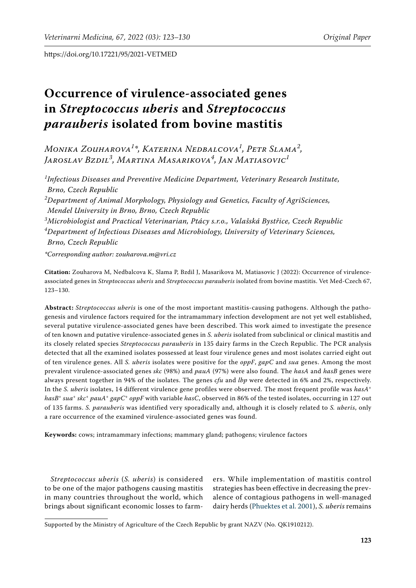# **Occurrence of virulence-associated genes in** *Streptococcus uberis* **and** *Streptococcus parauberis* **isolated from bovine mastitis**

*Monika Zouharova<sup>1</sup> \*, Katerina Nedbalcova<sup>1</sup> , Petr Slama<sup>2</sup> , Jaroslav Bzdil<sup>3</sup> , Martina Masarikova<sup>4</sup> , Jan Matiasovic<sup>1</sup>*

*1 Infectious Diseases and Preventive Medicine Department, Veterinary Research Institute, Brno, Czech Republic*

*2 Department of Animal Morphology, Physiology and Genetics, Faculty of AgriSciences, Mendel University in Brno, Brno, Czech Republic*

*3 Microbiologist and Practical Veterinarian, Ptácy s.r.o., Valašská Bystřice, Czech Republic 4 Department of Infectious Diseases and Microbiology, University of Veterinary Sciences, Brno, Czech Republic*

*\*Corresponding author: zouharova.m@vri.cz*

**Citation:** Zouharova M, Nedbalcova K, Slama P, Bzdil J, Masarikova M, Matiasovic J (2022): Occurrence of virulenceassociated genes in *Streptococcus uberis* and *Streptococcus parauberis* isolated from bovine mastitis. Vet Med-Czech 67, 123–130.

**Abstract:** *Streptococcus uberis* is one of the most important mastitis-causing pathogens. Although the pathogenesis and virulence factors required for the intramammary infection development are not yet well established, several putative virulence-associated genes have been described. This work aimed to investigate the presence of ten known and putative virulence-associated genes in *S. uberis* isolated from subclinical or clinical mastitis and its closely related species *Streptococcus parauberis* in 135 dairy farms in the Czech Republic. The PCR analysis detected that all the examined isolates possessed at least four virulence genes and most isolates carried eight out of ten virulence genes. All *S. uberis* isolates were positive for the *oppF*, *gapC* and *sua* genes. Among the most prevalent virulence-associated genes *skc* (98%) and *pauA* (97%) were also found. The *hasA* and *hasB* genes were always present together in 94% of the isolates. The genes *cfu* and *lbp* were detected in 6% and 2%, respectively. In the *S. uberis* isolates, 14 different virulence gene profiles were observed. The most frequent profile was *hasA*<sup>+</sup> *hasB*<sup>+</sup> *sua*<sup>+</sup> *skc*<sup>+</sup> *pauA*<sup>+</sup> *gapC*<sup>+</sup> *oppF* with variable *hasC*, observed in 86% of the tested isolates, occurring in 127 out of 135 farms. *S. parauberis* was identified very sporadically and, although it is closely related to *S. uberis*, only a rare occurrence of the examined virulence-associated genes was found.

**Keywords:** cows; intramammary infections; mammary gland; pathogens; virulence factors

*Streptococcus uberis* (*S. uberis*) is considered to be one of the major pathogens causing mastitis in many countries throughout the world, which brings about significant economic losses to farmers. While implementation of mastitis control strategies has been effective in decreasing the prevalence of contagious pathogens in well-managed dairy herds ([Phuektes et al. 2001\)](#page-7-0), *S. uberis* remains

Supported by the Ministry of Agriculture of the Czech Republic by grant NAZV (No. QK1910212).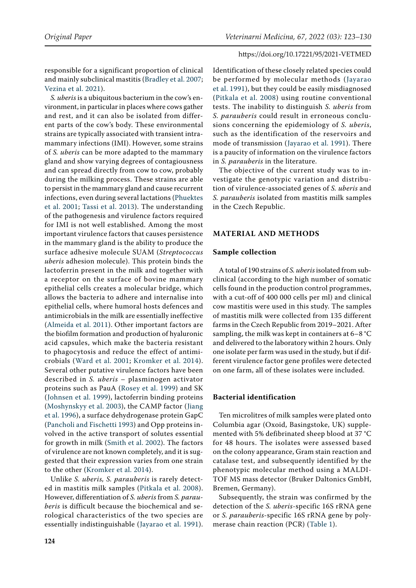responsible for a significant proportion of clinical and mainly subclinical mastitis ([Bradley et al. 2007](#page-6-0); [Vezina et al. 2021](#page-7-1)).

*S. uberis* is a ubiquitous bacterium in the cow's environment, in particular in places where cows gather and rest, and it can also be isolated from different parts of the cow's body. These environmental strains are typically associated with transient intramammary infections (IMI). However, some strains of *S. uberis* can be more adapted to the mammary gland and show varying degrees of contagiousness and can spread directly from cow to cow, probably during the milking process. These strains are able to persist in the mammary gland and cause recurrent infections, even during several lactations ([Phuektes](#page-7-0)  [et al. 2001;](#page-7-0) [Tassi et al. 2013\)](#page-7-2). The understanding of the pathogenesis and virulence factors required for IMI is not well established. Among the most important virulence factors that causes persistence in the mammary gland is the ability to produce the surface adhesive molecule SUAM (*Streptococcus uberis* adhesion molecule). This protein binds the lactoferrin present in the milk and together with a receptor on the surface of bovine mammary epithelial cells creates a molecular bridge, which allows the bacteria to adhere and internalise into epithelial cells, where humoral hosts defences and antimicrobials in the milk are essentially ineffective [\(Almeida et al. 2011\)](#page-6-1). Other important factors are the biofilm formation and production of hyaluronic acid capsules, which make the bacteria resistant to phagocytosis and reduce the effect of antimicrobials ([Ward et al. 2001](#page-7-3); [Kromker et al. 2014](#page-6-2)). Several other putative virulence factors have been described in *S. uberis* – plasminogen activator proteins such as PauA ([Rosey et al. 1999](#page-7-4)) and SK ([Johnsen et al. 1999\)](#page-6-3), lactoferrin binding proteins [\(Moshynskyy et al. 2003\)](#page-7-5), the CAMP factor ([Jiang](#page-6-4)  [et al. 1996](#page-6-4)), a surface dehydrogenase protein GapC [\(Pancholi and Fischetti 1993](#page-7-6)) and Opp proteins involved in the active transport of solutes essential for growth in milk ([Smith et al. 2002\)](#page-7-7). The factors of virulence are not known completely, and it is suggested that their expression varies from one strain to the other ([Kromker et al. 2014](#page-6-2)).

Unlike *S. uberis, S. parauberis* is rarely detected in mastitis milk samples ([Pitkala et al. 2008](#page-7-8)). However, differentiation of *S. uberis* from *S. parauberis* is difficult because the biochemical and serological characteristics of the two species are essentially indistinguishable ([Jayarao et al. 1991\)](#page-6-5).

Identification of these closely related species could be performed by molecular methods ([Jayarao](#page-6-5) [et al. 1991\)](#page-6-5), but they could be easily misdiagnosed ([Pitkala et al. 2008](#page-7-8)) using routine conventional tests. The inability to distinguish *S. uberis* from *S. parauberis* could result in erroneous conclusions concerning the epidemiology of *S. uberis*, such as the identification of the reservoirs and mode of transmission ([Jayarao et al. 1991](#page-6-5)). There is a paucity of information on the virulence factors in *S. parauberis* in the literature.

The objective of the current study was to investigate the genotypic variation and distribution of virulence-associated genes of *S. uberis* and *S. parauberis* isolated from mastitis milk samples in the Czech Republic.

## **MATERIAL AND METHODS**

#### **Sample collection**

A total of 190 strains of *S. uberis* isolated from subclinical (according to the high number of somatic cells found in the production control programmes, with a cut-off of 400 000 cells per ml) and clinical cow mastitis were used in this study. The samples of mastitis milk were collected from 135 different farms in the Czech Republic from 2019–2021. After sampling, the milk was kept in containers at  $6-8$  °C and delivered to the laboratory within 2 hours. Only one isolate per farm was used in the study, but if different virulence factor gene profiles were detected on one farm, all of these isolates were included.

## **Bacterial identification**

Ten microlitres of milk samples were plated onto Columbia agar (Oxoid, Basingstoke, UK) supplemented with 5% defibrinated sheep blood at 37 °C for 48 hours. The isolates were assessed based on the colony appearance, Gram stain reaction and catalase test, and subsequently identified by the phenotypic molecular method using a MALDI-TOF MS mass detector (Bruker Daltonics GmbH, Bremen, Germany).

Subsequently, the strain was confirmed by the detection of the *S. uberis*-specific 16S rRNA gene or *S. parauberis*-specific 16S rRNA gene by polymerase chain reaction (PCR) ([Table 1](#page-2-0)).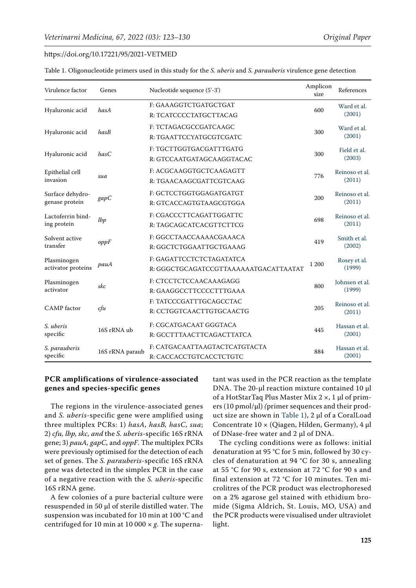<span id="page-2-0"></span>

| Table 1. Oligonucleotide primers used in this study for the <i>S. uberis</i> and <i>S. parauberis</i> virulence gene detectior |  |  |  |  |  |  |  |  |  |
|--------------------------------------------------------------------------------------------------------------------------------|--|--|--|--|--|--|--|--|--|
|--------------------------------------------------------------------------------------------------------------------------------|--|--|--|--|--|--|--|--|--|

| Virulence factor                   | Genes           | Nucleotide sequence (5'-3')                                       | Amplicon<br>size | References               |
|------------------------------------|-----------------|-------------------------------------------------------------------|------------------|--------------------------|
| Hyaluronic acid                    | hasA            | F: GAAAGGTCTGATGCTGAT<br>R: TCATCCCCTATGCTTACAG                   | 600              | Ward et al.<br>(2001)    |
| Hyaluronic acid                    | hasB            | F: TCTAGACGCCGATCAAGC<br>R: TGAATTCCYATGCGTCGATC                  | 300              | Ward et al.<br>(2001)    |
| Hyaluronic acid                    | hasC            | F: TGCTTGGTGACGATTTGATG<br>R: GTCCAATGATAGCAAGGTACAC              | 300              | Field et al.<br>(2003)   |
| Epithelial cell<br>invasion        | sua             | F: ACGCAAGGTGCTCAAGAGTT<br>R: TGAACAAGCGATTCGTCAAG                | 776              | Reinoso et al.<br>(2011) |
| Surface dehydro-<br>genase protein | gapC            | F: GCTCCTGGTGGAGATGATGT<br>R: GTCACCAGTGTAAGCGTGGA                | 200              | Reinoso et al.<br>(2011) |
| Lactoferrin bind-<br>ing protein   | lbp             | F: CGACCCTTCAGATTGGATTC<br>R: TAGCAGCATCACGTTCTTCG                | 698              | Reinoso et al.<br>(2011) |
| Solvent active<br>transfer         | oppF            | F: GGCCTAACCAAAACGAAACA<br>R: GGCTCTGGAATTGCTGAAAG                | 419              | Smith et al.<br>(2002)   |
| Plasminogen<br>activator proteins  | pauA            | F: GAGATTCCTCTCTAGATATCA<br>R: GGGCTGCAGATCCGTTAAAAAATGACATTAATAT | 1 200            | Rosey et al.<br>(1999)   |
| Plasminogen<br>activator           | skc             | F: CTCCTCTCCAACAAAGAGG<br>R: GAAGGCCTTCCCCTTTGAAA                 | 800              | Johnsen et al.<br>(1999) |
| <b>CAMP</b> factor                 | cfu             | F: TATCCCGATTTGCAGCCTAC<br>R: CCTGGTCAACTTGTGCAACTG               | 205              | Reinoso et al.<br>(2011) |
| S. uberis<br>specific              | 16S rRNA ub     | F: CGCATGACAAT GGGTACA<br>R: GCCTTTAACTTCAGACTTATCA               | 445              | Hassan et al.<br>(2001)  |
| S. parauberis<br>specific          | 16S rRNA paraub | F: CATGACAATTAAGTACTCATGTACTA<br>R: CACCACCTGTCACCTCTGTC          | 884              | Hassan et al.<br>(2001)  |

# **PCR amplifications of virulence-associated genes and species-specific genes**

The regions in the virulence-associated genes and *S. uberis*-specific gene were amplified using three multiplex PCRs: 1) *hasA, hasB, hasC, sua*; 2) *cfu, lbp, skc, and* the *S. uberis*-specific 16S rRNA gene; 3) *pauA, gapC,* and *oppF*. The multiplex PCRs were previously optimised for the detection of each set of genes. The *S. parauberis*-specific 16S rRNA gene was detected in the simplex PCR in the case of a negative reaction with the *S. uberis*-specific 16S rRNA gene.

A few colonies of a pure bacterial culture were resuspended in 50 µl of sterile distilled water. The suspension was incubated for 10 min at 100 °C and centrifuged for 10 min at 10 000 × *g*. The supernatant was used in the PCR reaction as the template DNA. The 20-μl reaction mixture contained 10 μl of a HotStarTaq Plus Master Mix 2 ×, 1 μl of primers (10 pmol/μl) *(*primer sequences and their product size are shown in [Table 1\)](#page-2-0), 2 μl of a CoralLoad Concentrate 10 × (Qiagen, Hilden, Germany), 4 μl of DNase-free water and 2 μl of DNA.

The cycling conditions were as follows: initial denaturation at 95 °C for 5 min, followed by 30 cycles of denaturation at 94 °C for 30 s, annealing at 55 °C for 90 s, extension at 72 °C for 90 s and final extension at 72 °C for 10 minutes. Ten microlitres of the PCR product was electrophoresed on a 2% [agarose](https://www.sciencedirect.com/topics/agricultural-and-biological-sciences/agarose) gel stained with ethidium bromide (Sigma Aldrich, St. Louis, MO, USA) and the PCR products were visualised under ultraviolet light.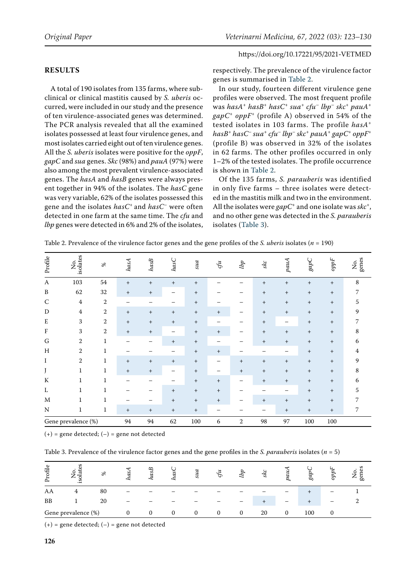## **RESULTS**

A total of 190 isolates from 135 farms, where subclinical or clinical mastitis caused by *S. uberis* occurred, were included in our study and the presence of ten virulence-associated genes was determined. The PCR analysis revealed that all the examined isolates possessed at least four virulence genes, and most isolates carried eight out of ten virulence genes. All the *S. uberis* isolates were positive for the *oppF*, *gapC* and *sua* genes. *Skc* (98%) and *pauA* (97%) were also among the most prevalent virulence-associated genes. The *hasA* and *hasB* genes were always present together in 94% of the isolates. The *hasC* gene was very variable, 62% of the isolates possessed this gene and the isolates *hasC<sup>+</sup>* and *hasC–* were often detected in one farm at the same time. The *cfu* and *lbp* genes were detected in 6% and 2% of the isolates, respectively. The prevalence of the virulence factor genes is summarised in [Table 2.](#page-3-0)

In our study, fourteen different virulence gene profiles were observed. The most frequent profile was *hasA*<sup>+</sup> *hasB*<sup>+</sup> *hasC*<sup>+</sup> *sua*<sup>+</sup> *cfu*– *lbp*– *skc*<sup>+</sup> *pauA*<sup>+</sup> *gapC*<sup>+</sup> *oppF<sup>+</sup>* (profile A) observed in 54% of the tested isolates in 103 farms. The profile *hasA*<sup>+</sup> *hasB*<sup>+</sup> *hasC*– *sua*<sup>+</sup> *cfu*– *lbp*– *skc*<sup>+</sup> *pauA*<sup>+</sup> *gapC*<sup>+</sup> *oppF<sup>+</sup>* (profile B) was observed in 32% of the isolates in 62 farms. The other profiles occurred in only 1–2% of the tested isolates. The profile occurrence is shown in [Table 2](#page-3-0).

Of the 135 farms, *S. parauberis* was identified in only five farms – three isolates were detected in the mastitis milk and two in the environment. All the isolates were *gapC*+ and one isolate was *skc*+, and no other gene was detected in the *S. parauberis* isolates [\(Table 3\)](#page-3-1).

| Profile             | No.<br>isolates | $\%$           | hasA            | hasB                             | hasC   | ms                               | $\mathcal{G}u$ | lbp    | зkс                              | pauA                             | gapC   | $\ensuremath{ppF}\xspace$        | No.<br>genes |
|---------------------|-----------------|----------------|-----------------|----------------------------------|--------|----------------------------------|----------------|--------|----------------------------------|----------------------------------|--------|----------------------------------|--------------|
| A                   | 103             | 54             | $^{+}$          | $\begin{array}{c} + \end{array}$ | $^{+}$ | $^{+}$                           |                |        | $^{+}$                           | $^{+}$                           | $^{+}$ | $^{+}$                           | 8            |
| B                   | 62              | 32             | $^{+}$          | $\! + \!\!\!\!$                  |        | $^{+}$                           |                |        | $^{+}$                           | $\begin{array}{c} + \end{array}$ | $^{+}$ | $+$                              | 7            |
| $\mathsf{C}$        | $\overline{4}$  | $\overline{2}$ |                 |                                  |        | $^{+}$                           |                |        | $^{+}$                           | $^{+}$                           | $^{+}$ | $+$                              | 5            |
| D                   | $\bf 4$         | 2              | $^{+}$          | $^{+}$                           | $^{+}$ | $^{+}$                           | $^{+}$         |        | $^{+}$                           | $^{+}$                           | $^{+}$ | $\begin{array}{c} + \end{array}$ | 9            |
| ${\bf E}$           | 3               | 2              | $^{+}$          | $\! + \!\!\!\!$                  | $^{+}$ | $^{+}$                           |                |        | $^{+}$                           |                                  | $^{+}$ | $+$                              | 7            |
| $\rm F$             | 3               | 2              | $+$             | $^{\mathrm{+}}$                  |        | $^{\mathrm{+}}$                  | $^{+}$         |        | $\begin{array}{c} + \end{array}$ | $\begin{array}{c} + \end{array}$ | $^{+}$ | $+$                              | 8            |
| G                   | $\overline{2}$  | 1              | —               | —                                | $+$    | $^{+}$                           |                |        | $^{+}$                           | $^{+}$                           | $^{+}$ | $+$                              | 6            |
| H                   | $\overline{2}$  | 1              |                 |                                  |        | $^{\mathrm{+}}$                  | $+$            |        |                                  |                                  | $^{+}$ | $+$                              | 4            |
| $\bf{I}$            | $\overline{2}$  | 1              | $\ddot{}$       | $\begin{array}{c} + \end{array}$ | $^{+}$ | $^{+}$                           | -              | $^{+}$ | $^{+}$                           | $+$                              | $^{+}$ | $^{+}$                           | 9            |
| J                   | $\mathbf{1}$    | $\mathbf{1}$   | $\ddot{}$       | $\begin{array}{c} + \end{array}$ |        | $^{+}$                           |                | $^{+}$ | $\begin{array}{c} + \end{array}$ | $^{+}$                           | $^{+}$ | $+$                              | 8            |
| К                   | $\mathbf{1}$    | 1              | —               |                                  |        | $^{+}$                           | $^{+}$         | —      | $^{+}$                           | $^{+}$                           | $^{+}$ | $^{+}$                           | 6            |
| L                   |                 | 1              |                 |                                  | $^{+}$ | $\begin{array}{c} + \end{array}$ | $+$            |        |                                  |                                  | $^{+}$ | $^{+}$                           | 5            |
| M                   | $\mathbf{1}$    | 1              |                 |                                  | $^{+}$ | $^{+}$                           | $^{+}$         | —      | $^{+}$                           | $\, +$                           | $^{+}$ | $^{+}$                           | 7            |
| N                   | $\mathbf{1}$    | $\mathbf{1}$   | $^{\mathrm{+}}$ | $^+$                             | $^{+}$ | $^{+}$                           |                |        |                                  | $^{+}$                           | $^{+}$ | $^{+}$                           | 7            |
| Gene prevalence (%) |                 | 94             | 94              | 62                               | 100    | 6                                | $\overline{2}$ | 98     | 97                               | 100                              | 100    |                                  |              |

<span id="page-3-0"></span>Table 2. Prevalence of the virulence factor genes and the gene profiles of the *S. uberis* isolates (*n* = 190)

 $(+)$  = gene detected;  $(-)$  = gene not detected

<span id="page-3-1"></span>Table 3. Prevalence of the virulence factor genes and the gene profiles in the *S. parauberis* isolates (*n* = 5)

| Profile   | S<br>←<br>◡<br><u>ي.</u> | $\%$ |   | $\infty$<br>ù | has      | a<br>šИ  | $\tilde{}$ | Uф | २<br>∽ | P | gg  | O. | ge<br>∼ |
|-----------|--------------------------|------|---|---------------|----------|----------|------------|----|--------|---|-----|----|---------|
| AA        | 4                        | 80   |   |               |          |          |            |    |        |   |     |    |         |
| <b>BB</b> |                          | 20   |   |               |          |          |            |    |        |   |     | -  |         |
|           | Gene prevalence (%)      |      | 0 |               | $^{(1)}$ | $\theta$ | $\Omega$   | 0  | 20     |   | 100 |    |         |

 $(+)$  = gene detected;  $(-)$  = gene not detected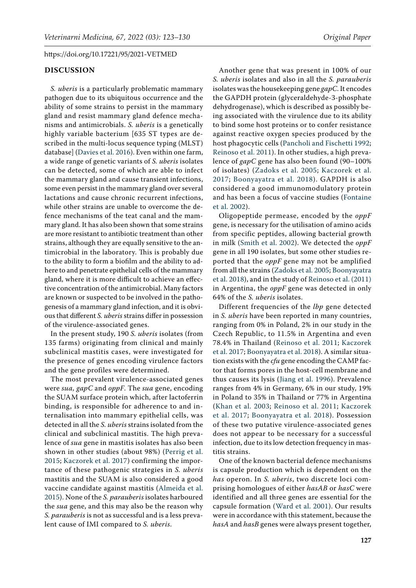### **DISCUSSION**

*S. uberis* is a particularly problematic mammary pathogen due to its ubiquitous occurrence and the ability of some strains to persist in the mammary gland and resist mammary gland defence mechanisms and antimicrobials. *S. uberis* is a genetically highly variable bacterium [635 ST types are described in the multi-locus sequence typing (MLST) database] [\(Davies et al. 2016\)](#page-6-8). Even within one farm, a wide range of genetic variants of *S. uberis* isolates can be detected, some of which are able to infect the mammary gland and cause transient infections, some even persist in the mammary gland over several lactations and cause chronic recurrent infections, while other strains are unable to overcome the defence mechanisms of the teat canal and the mammary gland. It has also been shown that some strains are more resistant to antibiotic treatment than other strains, although they are equally sensitive to the antimicrobial in the laboratory. This is probably due to the ability to form a biofilm and the ability to adhere to and penetrate epithelial cells of the mammary gland, where it is more difficult to achieve an effective concentration of the antimicrobial. Many factors are known or suspected to be involved in the pathogenesis of a mammary gland infection, and it is obvious that different *S. uberis* strains differ in possession of the virulence-associated genes.

In the present study, 190 *S. uberis* isolates (from 135 farms) originating from clinical and mainly subclinical mastitis cases, were investigated for the presence of genes encoding virulence factors and the gene profiles were determined.

The most prevalent virulence-associated genes were *sua, gapC* and *oppF*. The *sua* gene, encoding the SUAM surface protein which, after lactoferrin binding, is responsible for adherence to and internalisation into mammary epithelial cells, was detected in all the *S. uberis* strains isolated from the clinical and subclinical mastitis. The high prevalence of *sua* gene in mastitis isolates has also been shown in other studies (about 98%) [\(Perrig et al.](#page-7-10)  [2015;](#page-7-10) [Kaczorek et al. 2017](#page-6-9)) confirming the importance of these pathogenic strategies in *S. uberis* mastitis and the SUAM is also considered a good vaccine candidate against mastitis ([Almeida et al.](#page-6-10)  [2015](#page-6-10)). None of the *S. parauberis* isolates harboured the *sua* gene, and this may also be the reason why *S. parauberis* is not as successful and is a less prevalent cause of IMI compared to *S. uberis*.

Another gene that was present in 100% of our *S. uberis* isolates and also in all the *S. parauberis* isolates was the housekeeping gene *gapC*. It encodes the GAPDH protein (glyceraldehyde-3-phosphate dehydrogenase), which is described as possibly being associated with the virulence due to its ability to bind some host proteins or to confer resistance against reactive oxygen species produced by the host phagocytic cells ([Pancholi and Fischetti 1992](#page-7-11); [Reinoso et al. 2011\)](#page-7-9). In other studies, a high prevalence of *gapC* gene has also been found (90–100% of isolates) ([Zadoks et al. 2005;](#page-7-12) [Kaczorek et al.](#page-6-9) [2017;](#page-6-9) [Boonyayatra et al. 2018](#page-6-11)). GAPDH is also considered a good immunomodulatory protein and has been a focus of vaccine studies ([Fontaine](#page-6-12) [et al. 2002](#page-6-12)).

Oligopeptide permease, encoded by the *oppF*  gene, is necessary for the utilisation of amino acids from specific peptides, allowing bacterial growth in milk ([Smith et al. 2002\)](#page-7-7). We detected the *oppF* gene in all 190 isolates, but some other studies reported that the *oppF* gene may not be amplified from all the strains [\(Zadoks et al. 2005](#page-7-12); [Boonyayatra](#page-6-11) [et al. 2018\)](#page-6-11), and in the study of [Reinoso et al. \(2011\)](#page-7-9) in Argentina, the *oppF* gene was detected in only 64% of the *S. uberis* isolates.

Different frequencies of the *lbp* gene detected in *S. uberis* have been reported in many countries, ranging from 0% in Poland, 2% in our study in the Czech Republic, to 11.5% in Argentina and even 78.4% in Thailand ([Reinoso et al. 2011](#page-7-9); [Kaczorek](#page-6-9) [et al. 2017](#page-6-9); [Boonyayatra et al. 2018\)](#page-6-11). A similar situation exists with the *cfu* gene encoding the CAMP factor that forms pores in the host-cell membrane and thus causes its lysis ([Jiang et al. 1996](#page-6-4)). Prevalence ranges from 4% in Germany, 6% in our study, 19% in Poland to 35% in Thailand or 77% in Argentina ([Khan et al. 2003;](#page-6-13) [Reinoso et al. 2011](#page-7-9); [Kaczorek](#page-6-9) [et al. 2017](#page-6-9); [Boonyayatra et al. 2018\)](#page-6-11). Possession of these two putative virulence-associated genes does not appear to be necessary for a successful infection, due to its low detection frequency in mastitis strains.

One of the known bacterial defence mechanisms is capsule production which is dependent on the *has* operon. In *S. uberis*, two discrete loci comprising homologues of either *hasAB* or *hasC* were identified and all three genes are essential for the capsule formation ([Ward et al. 2001](#page-7-3)). Our results were in accordance with this statement, because the *hasA* and *hasB* genes were always present together,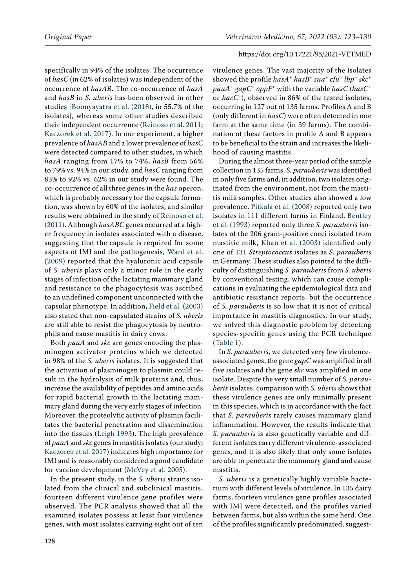specifically in 94% of the isolates. The occurrence of *hasC* (in 62% of isolates) was independent of the occurrence of *hasAB*. The co-occurrence of *hasA* and *hasB* in *S. uberis* has been observed in other studies [\[Boonyayatra et al. \(2018\)](#page-6-11), in 55.7% of the isolates], whereas some other studies described their independent occurrence ([Reinoso et al. 2011](#page-7-9); [Kaczorek et al. 2017\)](#page-6-9). In our experiment, a higher prevalence of *hasAB* and a lower prevalence of *hasC* were detected compared to other studies, in which *hasA* ranging from 17% to 74%, *hasB* from 56% to 79% vs. 94% in our study, and *hasC* ranging from 83% to 92% vs. 62% in our study were found. The co-occurrence of all three genes in the *has* operon, which is probably necessary for the capsule formation, was shown by 60% of the isolates, and similar results were obtained in the study of R[einoso et al.](#page-7-9)  [\(2011\)](#page-7-9). Although *hasABC* genes occurred at a higher frequency in isolates associated with a disease, suggesting that the capsule is required for some aspects of IMI and the pathogenesis, [Ward et al.](#page-7-13)  [\(2009\)](#page-7-13) reported that the hyaluronic acid capsule of *S. uberis* plays only a minor role in the early stages of infection of the lactating mammary gland and resistance to the phagocytosis was ascribed to an undefined component unconnected with the capsular phenotype. In addition, [Field et al. \(2003\)](#page-6-6)  also stated that non-capsulated strains of *S. uberis* are still able to resist the phagocytosis by neutrophils and cause mastitis in dairy cows.

Both *pauA* and *skc* are genes encoding the plasminogen activator proteins which we detected in 98% of the *S. uberis* isolates. It is suggested that the activation of plasminogen to plasmin could result in the hydrolysis of milk proteins and, thus, increase the availability of peptides and amino acids for rapid bacterial growth in the lactating mammary gland during the very early stages of infection. Moreover, the proteolytic activity of plasmin facilitates the bacterial penetration and dissemination into the tissues ([Leigh 1993](#page-6-14)). The high prevalence of *pauA* and *skc* genes in mastitis isolates (our study; [Kaczorek et al. 2017\)](#page-6-9) indicates high importance for IMI and is reasonably considered a good candidate for vaccine development [\(McVey et al. 2005\)](#page-6-15).

In the present study, in the *S. uberis* strains isolated from the clinical and subclinical mastitis, fourteen different virulence gene profiles were observed. The PCR analysis showed that all the examined isolates possess at least four virulence genes, with most isolates carrying eight out of ten virulence genes. The vast majority of the isolates showed the profile *hasA*<sup>+</sup> *hasB*<sup>+</sup> *sua*<sup>+</sup> *cfu*– *lbp*– *skc*<sup>+</sup> *pauA*<sup>+</sup> gapC<sup>+</sup> oppF<sup>+</sup> with the variable *hasC* (*hasC*<sup>+</sup> or *hacC–*), observed in 86% of the tested isolates, occurring in 127 out of 135 farms. Profiles A and B (only different in *hasC*) were often detected in one farm at the same time (in 39 farms). The combination of these factors in profile A and B appears to be beneficial to the strain and increases the likelihood of causing mastitis.

During the almost three-year period of the sample collection in 135 farms, *S. parauberis* was identified in only five farms and, in addition, two isolates originated from the environment, not from the mastitis milk samples. Other studies also showed a low prevalence, [Pitkala et al. \(2008\) r](#page-7-8)eported only two isolates in 111 different farms in Finland, [Bentley](#page-6-16) [et al. \(1993\) r](#page-6-16)eported only three *S. parauberis* isolates of the 206 gram-positive cocci isolated from mastitic milk, [Khan et al. \(2003\)](#page-6-13) identified only one of 131 *Streptococcus* isolates as *S. parauberis* in Germany. These studies also pointed to the difficulty of distinguishing *S. parauberis* from *S. uberis*  by conventional testing, which can cause complications in evaluating the epidemiological data and antibiotic resistance reports, but the occurrence of *S. parauberis* is so low that it is not of critical importance in mastitis diagnostics. In our study, we solved this diagnostic problem by detecting species-specific genes using the PCR technique ([Table 1\)](#page-2-0).

In *S. parauberis*, we detected very few virulenceassociated genes, the gene *gapC* was amplified in all five isolates and the gene *skc* was amplified in one isolate. Despite the very small number of *S. parauberis* isolates, comparison with *S. uberis* shows that these virulence genes are only minimally present in this species, which is in accordance with the fact that *S. parauberis* rarely causes mammary gland inflammation. However, the results indicate that *S. parauberis* is also genetically variable and different isolates carry different virulence-associated genes, and it is also likely that only some isolates are able to penetrate the mammary gland and cause mastitis.

*S. uberis* is a genetically highly variable bacterium with different levels of virulence. In 135 dairy farms, fourteen virulence gene profiles associated with IMI were detected, and the profiles varied between farms, but also within the same herd. One of the profiles significantly predominated, suggest-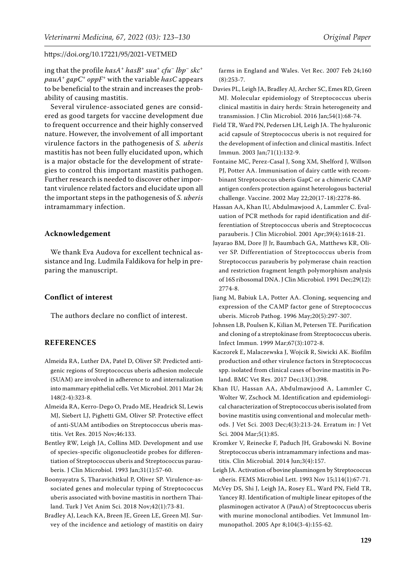ing that the profile *hasA*<sup>+</sup> *hasB*<sup>+</sup> *sua*<sup>+</sup> *cfu*– *lbp*– *skc*<sup>+</sup> *pauA*<sup>+</sup> *gapC*<sup>+</sup> *oppF<sup>+</sup>* with the variable *hasC* appears to be beneficial to the strain and increases the probability of causing mastitis.

Several virulence-associated genes are considered as good targets for vaccine development due to frequent occurrence and their highly conserved nature. However, the involvement of all important virulence factors in the pathogenesis of *S. uberis* mastitis has not been fully elucidated upon, which is a major obstacle for the development of strategies to control this important mastitis pathogen. Further research is needed to discover other important virulence related factors and elucidate upon all the important steps in the pathogenesis of *S. uberis* intramammary infection.

## **Acknowledgement**

We thank Eva Audova for excellent technical assistance and Ing. Ludmila Faldikova for help in preparing the manuscript.

## **Conflict of interest**

The authors declare no conflict of interest.

# **REFERENCES**

- <span id="page-6-1"></span>Almeida RA, Luther DA, Patel D, Oliver SP. Predicted antigenic regions of Streptococcus uberis adhesion molecule (SUAM) are involved in adherence to and internalization into mammary epithelial cells. Vet Microbiol. 2011 Mar 24; 148(2-4):323-8.
- <span id="page-6-10"></span>Almeida RA, Kerro-Dego O, Prado ME, Headrick SI, Lewis MJ, Siebert LJ, Pighetti GM, Oliver SP. Protective effect of anti-SUAM antibodies on Streptococcus uberis mastitis. Vet Res. 2015 Nov;46:133.
- <span id="page-6-16"></span>Bentley RW, Leigh JA, Collins MD. Development and use of species-specific oligonucleotide probes for differentiation of Streptococcus uberis and Streptococcus parauberis. J Clin Microbiol. 1993 Jan;31(1):57-60.
- <span id="page-6-11"></span>Boonyayatra S, Tharavichitkul P, Oliver SP. Virulence-associated genes and molecular typing of Streptococcus uberis associated with bovine mastitis in northern Thailand. Turk J Vet Anim Sci. 2018 Nov;42(1):73-81.
- <span id="page-6-0"></span>Bradley AJ, Leach KA, Breen JE, Green LE, Green MJ. Survey of the incidence and aetiology of mastitis on dairy

farms in England and Wales. Vet Rec. 2007 Feb 24;160 (8):253-7.

- <span id="page-6-8"></span>Davies PL, Leigh JA, Bradley AJ, Archer SC, Emes RD, Green MJ. Molecular epidemiology of Streptococcus uberis clinical mastitis in dairy herds: Strain heterogeneity and transmission. J Clin Microbiol. 2016 Jan;54(1):68-74.
- <span id="page-6-6"></span>Field TR, Ward PN, Pedersen LH, Leigh JA. The hyaluronic acid capsule of Streptococcus uberis is not required for the development of infection and clinical mastitis. Infect Immun. 2003 Jan;71(1):132-9.
- <span id="page-6-12"></span>Fontaine MC, Perez-Casal J, Song XM, Shelford J, Willson PJ, Potter AA. Immunisation of dairy cattle with recombinant Streptococcus uberis GapC or a chimeric CAMP antigen confers protection against heterologous bacterial challenge. Vaccine. 2002 May 22;20(17-18):2278-86.
- <span id="page-6-7"></span>Hassan AA, Khan IU, Abdulmawjood A, Lammler C. Evaluation of PCR methods for rapid identification and differentiation of Streptococcus uberis and Streptococcus parauberis. J Clin Microbiol. 2001 Apr;39(4):1618-21.
- <span id="page-6-5"></span>Jayarao BM, Dore JJ Jr, Baumbach GA, Matthews KR, Oliver SP. Differentiation of Streptococcus uberis from Streptococcus parauberis by polymerase chain reaction and restriction fragment length polymorphism analysis of 16S ribosomal DNA. J Clin Microbiol. 1991 Dec;29(12): 2774-8.
- <span id="page-6-4"></span>Jiang M, Babiuk LA, Potter AA. Cloning, sequencing and expression of the CAMP factor gene of Streptococcus uberis. Microb Pathog. 1996 May;20(5):297-307.
- <span id="page-6-3"></span>Johnsen LB, Poulsen K, Kilian M, Petersen TE. Purification and cloning of a streptokinase from Streptococcus uberis. Infect Immun. 1999 Mar;67(3):1072-8.
- <span id="page-6-9"></span>Kaczorek E, Malaczewska J, Wojcik R, Siwicki AK. Biofilm production and other virulence factors in Streptococcus spp. isolated from clinical cases of bovine mastitis in Poland. BMC Vet Res. 2017 Dec;13(1):398.
- <span id="page-6-13"></span>Khan IU, Hassan AA, Abdulmawjood A, Lammler C, Wolter W, Zschock M. Identification and epidemiological characterization of Streptococcus uberis isolated from bovine mastitis using conventional and molecular methods. J Vet Sci. 2003 Dec;4(3):213-24. Erratum in: J Vet Sci. 2004 Mar;5(1):85.
- <span id="page-6-2"></span>Kromker V, Reinecke F, Paduch JH, Grabowski N. Bovine Streptococcus uberis intramammary infections and mastitis. Clin Microbial. 2014 Jun;3(4):157.
- <span id="page-6-14"></span>Leigh JA. Activation of bovine plasminogen by Streptococcus uberis. FEMS Microbiol Lett. 1993 Nov 15;114(1):67-71.
- <span id="page-6-15"></span>McVey DS, Shi J, Leigh JA, Rosey EL, Ward PN, Field TR, Yancey RJ. Identification of multiple linear epitopes of the plasminogen activator A (PauA) of Streptococcus uberis with murine monoclonal antibodies. Vet Immunol Immunopathol. 2005 Apr 8;104(3-4):155-62.